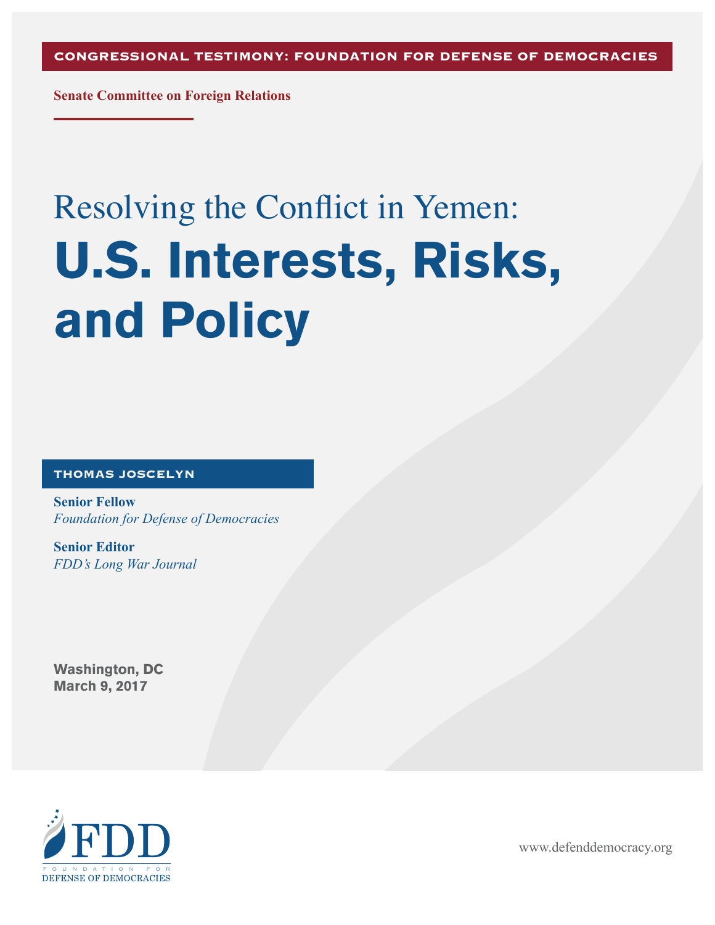**Senate Committee on Foreign Relations**

# Resolving the Conflict in Yemen: U.S. Interests, Risks, and Policy

#### **THOMAS JOSCELYN**

**Senior Fellow** *Foundation for Defense of Democracies*

**Senior Editor** *FDD's Long War Journal*

Washington, DC March 9, 2017



www.defenddemocracy.org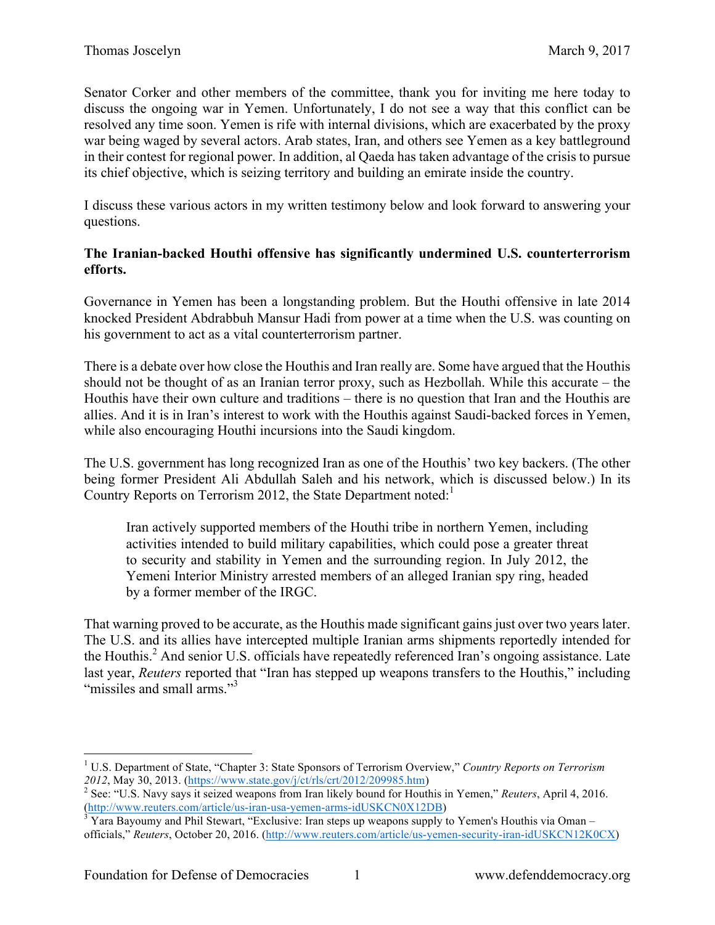Senator Corker and other members of the committee, thank you for inviting me here today to discuss the ongoing war in Yemen. Unfortunately, I do not see a way that this conflict can be resolved any time soon. Yemen is rife with internal divisions, which are exacerbated by the proxy war being waged by several actors. Arab states, Iran, and others see Yemen as a key battleground in their contest for regional power. In addition, al Qaeda has taken advantage of the crisis to pursue its chief objective, which is seizing territory and building an emirate inside the country.

I discuss these various actors in my written testimony below and look forward to answering your questions.

#### **The Iranian-backed Houthi offensive has significantly undermined U.S. counterterrorism efforts.**

Governance in Yemen has been a longstanding problem. But the Houthi offensive in late 2014 knocked President Abdrabbuh Mansur Hadi from power at a time when the U.S. was counting on his government to act as a vital counterterrorism partner.

There is a debate over how close the Houthis and Iran really are. Some have argued that the Houthis should not be thought of as an Iranian terror proxy, such as Hezbollah. While this accurate – the Houthis have their own culture and traditions – there is no question that Iran and the Houthis are allies. And it is in Iran's interest to work with the Houthis against Saudi-backed forces in Yemen, while also encouraging Houthi incursions into the Saudi kingdom.

The U.S. government has long recognized Iran as one of the Houthis' two key backers. (The other being former President Ali Abdullah Saleh and his network, which is discussed below.) In its Country Reports on Terrorism 2012, the State Department noted:<sup>1</sup>

Iran actively supported members of the Houthi tribe in northern Yemen, including activities intended to build military capabilities, which could pose a greater threat to security and stability in Yemen and the surrounding region. In July 2012, the Yemeni Interior Ministry arrested members of an alleged Iranian spy ring, headed by a former member of the IRGC.

That warning proved to be accurate, as the Houthis made significant gains just over two years later. The U.S. and its allies have intercepted multiple Iranian arms shipments reportedly intended for the Houthis. <sup>2</sup> And senior U.S. officials have repeatedly referenced Iran's ongoing assistance. Late last year, *Reuters* reported that "Iran has stepped up weapons transfers to the Houthis," including "missiles and small arms."<sup>3</sup>

 <sup>1</sup> U.S. Department of State, "Chapter 3: State Sponsors of Terrorism Overview," *Country Reports on Terrorism* 

*<sup>2012</sup>*, May 30, 2013. (https://www.state.gov/j/ct/rls/crt/2012/209985.htm) 2 See: "U.S. Navy says it seized weapons from Iran likely bound for Houthis in Yemen," *Reuters*, April 4, 2016. (http://www.reuters.com/article/us-iran-usa-yemen-arms-idUSKCN0X12DB)<br><sup>3</sup> Yara Bayoumy and Phil Stewart, "Exclusive: Iran steps up weapons supply to Yemen's Houthis via Oman –

officials," *Reuters*, October 20, 2016. (http://www.reuters.com/article/us-yemen-security-iran-idUSKCN12K0CX)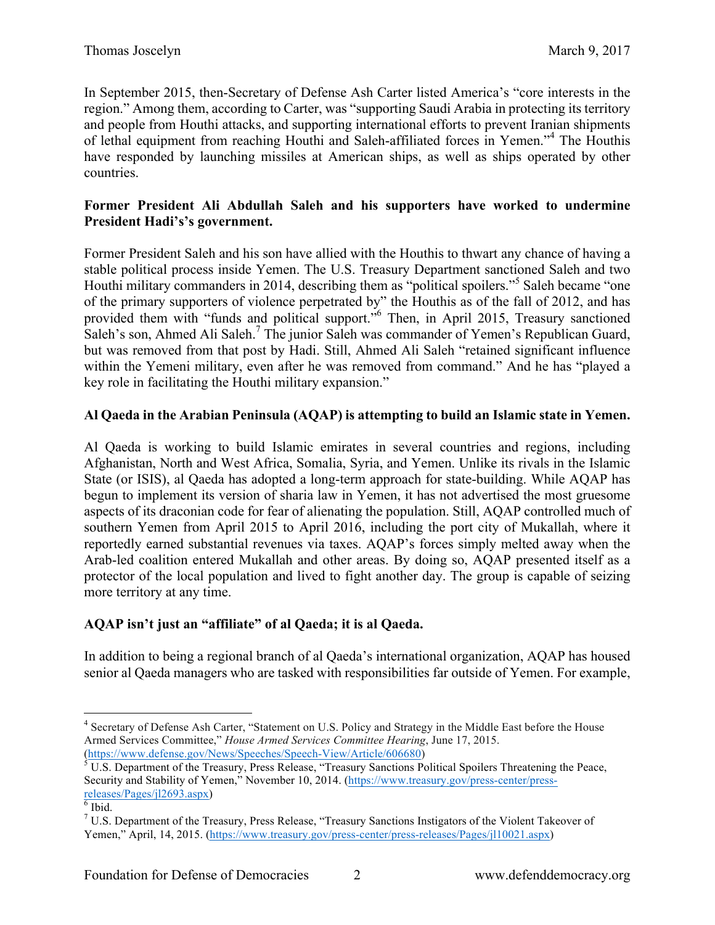In September 2015, then-Secretary of Defense Ash Carter listed America's "core interests in the region." Among them, according to Carter, was "supporting Saudi Arabia in protecting its territory and people from Houthi attacks, and supporting international efforts to prevent Iranian shipments of lethal equipment from reaching Houthi and Saleh-affiliated forces in Yemen."<sup>4</sup> The Houthis have responded by launching missiles at American ships, as well as ships operated by other countries.

#### **Former President Ali Abdullah Saleh and his supporters have worked to undermine President Hadi's's government.**

Former President Saleh and his son have allied with the Houthis to thwart any chance of having a stable political process inside Yemen. The U.S. Treasury Department sanctioned Saleh and two Houthi military commanders in 2014, describing them as "political spoilers."<sup>5</sup> Saleh became "one of the primary supporters of violence perpetrated by" the Houthis as of the fall of 2012, and has provided them with "funds and political support."<sup>6</sup> Then, in April 2015, Treasury sanctioned Saleh's son, Ahmed Ali Saleh.<sup>7</sup> The junior Saleh was commander of Yemen's Republican Guard, but was removed from that post by Hadi. Still, Ahmed Ali Saleh "retained significant influence within the Yemeni military, even after he was removed from command." And he has "played a key role in facilitating the Houthi military expansion."

## **Al Qaeda in the Arabian Peninsula (AQAP) is attempting to build an Islamic state in Yemen.**

Al Qaeda is working to build Islamic emirates in several countries and regions, including Afghanistan, North and West Africa, Somalia, Syria, and Yemen. Unlike its rivals in the Islamic State (or ISIS), al Qaeda has adopted a long-term approach for state-building. While AQAP has begun to implement its version of sharia law in Yemen, it has not advertised the most gruesome aspects of its draconian code for fear of alienating the population. Still, AQAP controlled much of southern Yemen from April 2015 to April 2016, including the port city of Mukallah, where it reportedly earned substantial revenues via taxes. AQAP's forces simply melted away when the Arab-led coalition entered Mukallah and other areas. By doing so, AQAP presented itself as a protector of the local population and lived to fight another day. The group is capable of seizing more territory at any time.

# **AQAP isn't just an "affiliate" of al Qaeda; it is al Qaeda.**

In addition to being a regional branch of al Qaeda's international organization, AQAP has housed senior al Qaeda managers who are tasked with responsibilities far outside of Yemen. For example,

<sup>&</sup>lt;sup>4</sup> Secretary of Defense Ash Carter, "Statement on U.S. Policy and Strategy in the Middle East before the House Armed Services Committee," *House Armed Services Committee Hearing*, June 17, 2015.<br>(https://www.defense.gov/News/Speeches/Speech-View/Article/606680)

 $\overline{\text{SULS}}$ . Department of the Treasury, Press Release, "Treasury Sanctions Political Spoilers Threatening the Peace, Security and Stability of Yemen," November 10, 2014. (https://www.treasury.gov/press-center/press- $\frac{releases/Pages/jl2693.aspx}{fibid.}$ 

<sup>7</sup> U.S. Department of the Treasury, Press Release, "Treasury Sanctions Instigators of the Violent Takeover of Yemen," April, 14, 2015. (https://www.treasury.gov/press-center/press-releases/Pages/jl10021.aspx)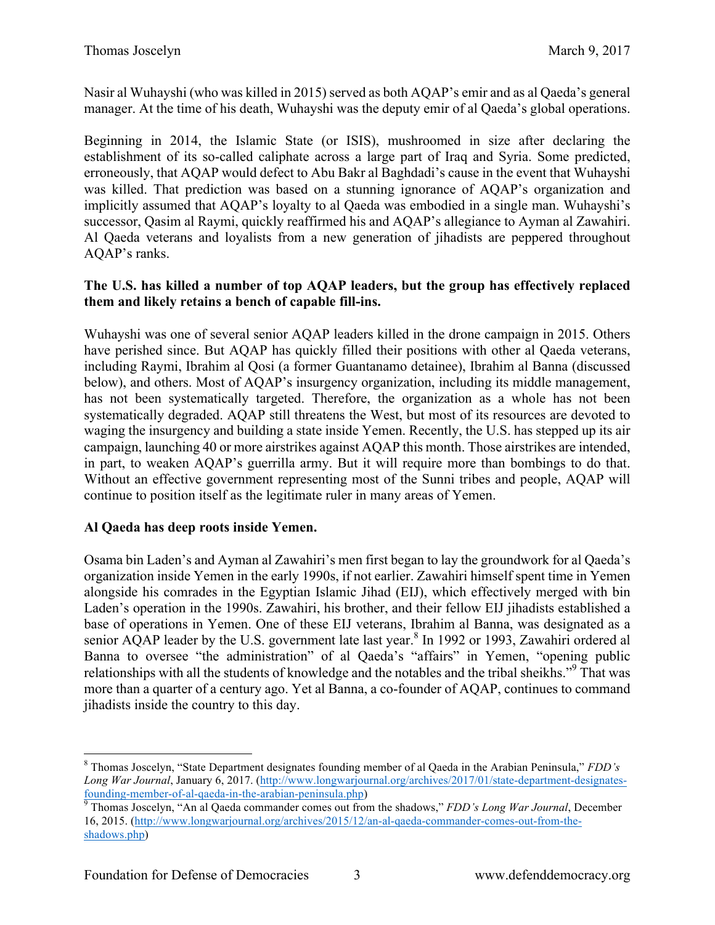Nasir al Wuhayshi (who was killed in 2015) served as both AQAP's emir and as al Qaeda's general manager. At the time of his death, Wuhayshi was the deputy emir of al Qaeda's global operations.

Beginning in 2014, the Islamic State (or ISIS), mushroomed in size after declaring the establishment of its so-called caliphate across a large part of Iraq and Syria. Some predicted, erroneously, that AQAP would defect to Abu Bakr al Baghdadi's cause in the event that Wuhayshi was killed. That prediction was based on a stunning ignorance of AQAP's organization and implicitly assumed that AQAP's loyalty to al Qaeda was embodied in a single man. Wuhayshi's successor, Qasim al Raymi, quickly reaffirmed his and AQAP's allegiance to Ayman al Zawahiri. Al Qaeda veterans and loyalists from a new generation of jihadists are peppered throughout AQAP's ranks.

#### **The U.S. has killed a number of top AQAP leaders, but the group has effectively replaced them and likely retains a bench of capable fill-ins.**

Wuhayshi was one of several senior AQAP leaders killed in the drone campaign in 2015. Others have perished since. But AQAP has quickly filled their positions with other al Qaeda veterans, including Raymi, Ibrahim al Qosi (a former Guantanamo detainee), Ibrahim al Banna (discussed below), and others. Most of AQAP's insurgency organization, including its middle management, has not been systematically targeted. Therefore, the organization as a whole has not been systematically degraded. AQAP still threatens the West, but most of its resources are devoted to waging the insurgency and building a state inside Yemen. Recently, the U.S. has stepped up its air campaign, launching 40 or more airstrikes against AQAP this month. Those airstrikes are intended, in part, to weaken AQAP's guerrilla army. But it will require more than bombings to do that. Without an effective government representing most of the Sunni tribes and people, AQAP will continue to position itself as the legitimate ruler in many areas of Yemen.

### **Al Qaeda has deep roots inside Yemen.**

Osama bin Laden's and Ayman al Zawahiri's men first began to lay the groundwork for al Qaeda's organization inside Yemen in the early 1990s, if not earlier. Zawahiri himself spent time in Yemen alongside his comrades in the Egyptian Islamic Jihad (EIJ), which effectively merged with bin Laden's operation in the 1990s. Zawahiri, his brother, and their fellow EIJ jihadists established a base of operations in Yemen. One of these EIJ veterans, Ibrahim al Banna, was designated as a senior AQAP leader by the U.S. government late last year.<sup>8</sup> In 1992 or 1993, Zawahiri ordered al Banna to oversee "the administration" of al Qaeda's "affairs" in Yemen, "opening public relationships with all the students of knowledge and the notables and the tribal sheikhs."<sup>9</sup> That was more than a quarter of a century ago. Yet al Banna, a co-founder of AQAP, continues to command jihadists inside the country to this day.

16, 2015. (http://www.longwarjournal.org/archives/2015/12/an-al-qaeda-commander-comes-out-from-theshadows.php)

 <sup>8</sup> Thomas Joscelyn, "State Department designates founding member of al Qaeda in the Arabian Peninsula," *FDD's Long War Journal*, January 6, 2017. (http://www.longwarjournal.org/archives/2017/01/state-department-designatesfounding-member-of-al-qaeda-in-the-arabian-peninsula.php) <sup>9</sup> Thomas Joscelyn, "An al Qaeda commander comes out from the shadows," *FDD's Long War Journal*, December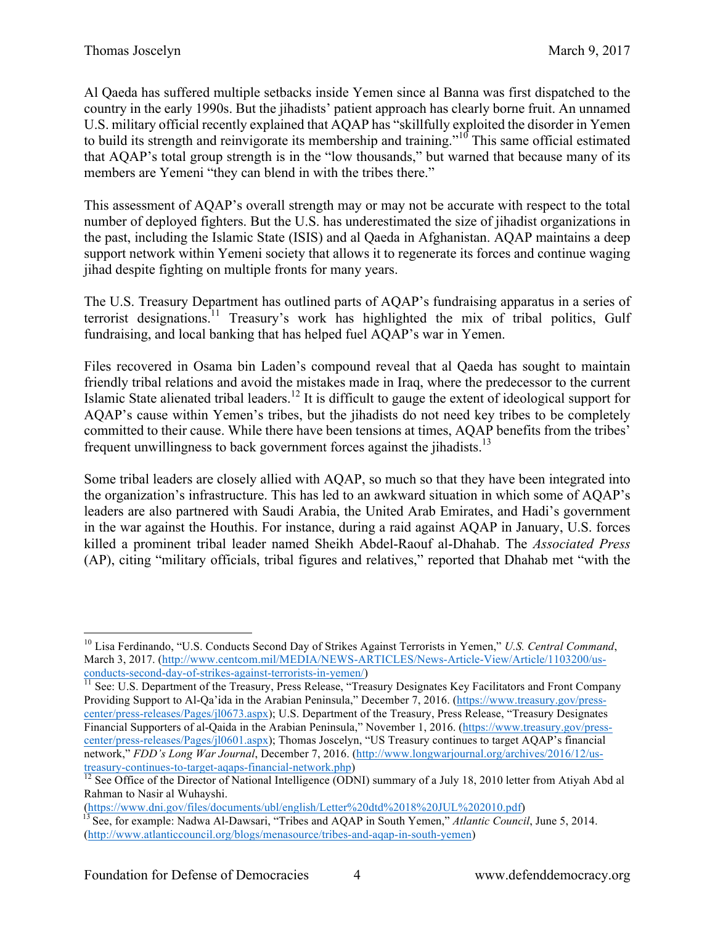Al Qaeda has suffered multiple setbacks inside Yemen since al Banna was first dispatched to the country in the early 1990s. But the jihadists' patient approach has clearly borne fruit. An unnamed U.S. military official recently explained that AQAP has "skillfully exploited the disorder in Yemen to build its strength and reinvigorate its membership and training."<sup>10</sup> This same official estimated that AQAP's total group strength is in the "low thousands," but warned that because many of its members are Yemeni "they can blend in with the tribes there."

This assessment of AQAP's overall strength may or may not be accurate with respect to the total number of deployed fighters. But the U.S. has underestimated the size of jihadist organizations in the past, including the Islamic State (ISIS) and al Qaeda in Afghanistan. AQAP maintains a deep support network within Yemeni society that allows it to regenerate its forces and continue waging jihad despite fighting on multiple fronts for many years.

The U.S. Treasury Department has outlined parts of AQAP's fundraising apparatus in a series of terrorist designations.<sup>11</sup> Treasury's work has highlighted the mix of tribal politics, Gulf fundraising, and local banking that has helped fuel AQAP's war in Yemen.

Files recovered in Osama bin Laden's compound reveal that al Qaeda has sought to maintain friendly tribal relations and avoid the mistakes made in Iraq, where the predecessor to the current Islamic State alienated tribal leaders.<sup>12</sup> It is difficult to gauge the extent of ideological support for AQAP's cause within Yemen's tribes, but the jihadists do not need key tribes to be completely committed to their cause. While there have been tensions at times, AQAP benefits from the tribes' frequent unwillingness to back government forces against the jihadists.<sup>13</sup>

Some tribal leaders are closely allied with AQAP, so much so that they have been integrated into the organization's infrastructure. This has led to an awkward situation in which some of AQAP's leaders are also partnered with Saudi Arabia, the United Arab Emirates, and Hadi's government in the war against the Houthis. For instance, during a raid against AQAP in January, U.S. forces killed a prominent tribal leader named Sheikh Abdel-Raouf al-Dhahab. The *Associated Press* (AP), citing "military officials, tribal figures and relatives," reported that Dhahab met "with the

 <sup>10</sup> Lisa Ferdinando, "U.S. Conducts Second Day of Strikes Against Terrorists in Yemen," *U.S. Central Command*, March 3, 2017. (http://www.centcom.mil/MEDIA/NEWS-ARTICLES/News-Article-View/Article/1103200/us-

conducts-second-day-of-strikes-against-terrorists-in-yemen/)<br><sup>11</sup> See: U.S. Department of the Treasury, Press Release, "Treasury Designates Key Facilitators and Front Company Providing Support to Al-Qa'ida in the Arabian Peninsula," December 7, 2016. (https://www.treasury.gov/presscenter/press-releases/Pages/jl0673.aspx); U.S. Department of the Treasury, Press Release, "Treasury Designates Financial Supporters of al-Qaida in the Arabian Peninsula," November 1, 2016. (https://www.treasury.gov/presscenter/press-releases/Pages/jl0601.aspx); Thomas Joscelyn, "US Treasury continues to target AQAP's financial network," *FDD's Long War Journal*, December 7, 2016. (http://www.longwarjournal.org/archives/2016/12/us-<br>treasury-continues-to-target-agaps-financial-network.php)

 $\frac{12}{12}$  See Office of the Director of National Intelligence (ODNI) summary of a July 18, 2010 letter from Atiyah Abd al Rahman to Nasir al Wuhayshi.

<sup>(</sup>https://www.dni.gov/files/documents/ubl/english/Letter%20dtd%2018%20JUL%202010.pdf) <sup>13</sup> See, for example: Nadwa Al-Dawsari, "Tribes and AQAP in South Yemen," *Atlantic Council*, June 5, 2014. (http://www.atlanticcouncil.org/blogs/menasource/tribes-and-aqap-in-south-yemen)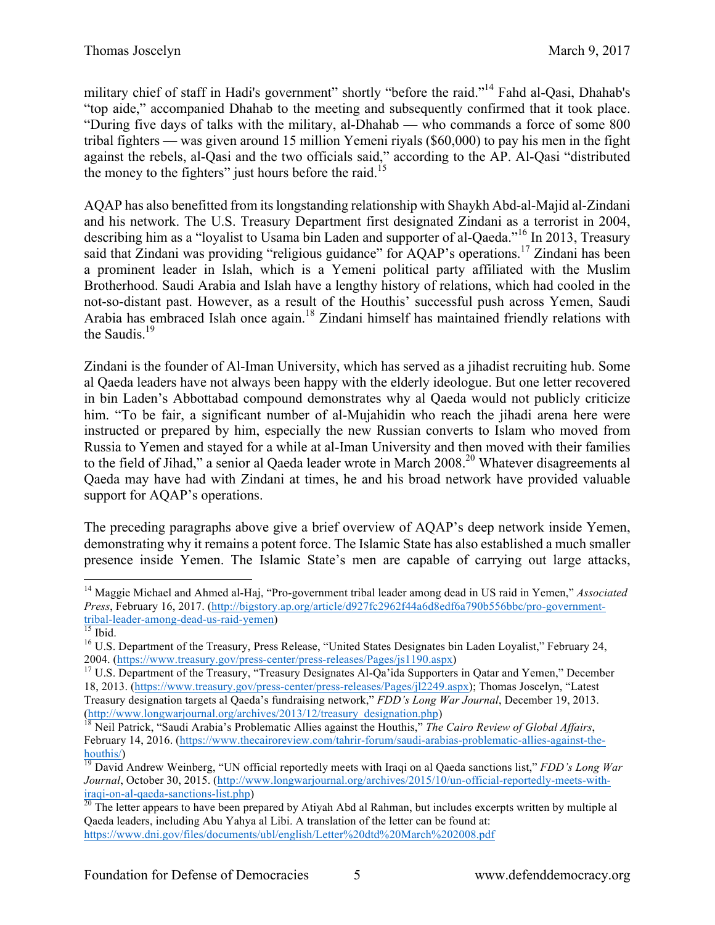military chief of staff in Hadi's government" shortly "before the raid."14 Fahd al-Qasi, Dhahab's "top aide," accompanied Dhahab to the meeting and subsequently confirmed that it took place. "During five days of talks with the military, al-Dhahab — who commands a force of some 800 tribal fighters — was given around 15 million Yemeni riyals (\$60,000) to pay his men in the fight against the rebels, al-Qasi and the two officials said," according to the AP. Al-Qasi "distributed the money to the fighters" just hours before the raid.<sup>15</sup>

AQAP has also benefitted from its longstanding relationship with Shaykh Abd-al-Majid al-Zindani and his network. The U.S. Treasury Department first designated Zindani as a terrorist in 2004, describing him as a "loyalist to Usama bin Laden and supporter of al-Qaeda."<sup>16</sup> In 2013, Treasury said that Zindani was providing "religious guidance" for AQAP's operations.<sup>17</sup> Zindani has been a prominent leader in Islah, which is a Yemeni political party affiliated with the Muslim Brotherhood. Saudi Arabia and Islah have a lengthy history of relations, which had cooled in the not-so-distant past. However, as a result of the Houthis' successful push across Yemen, Saudi Arabia has embraced Islah once again.<sup>18</sup> Zindani himself has maintained friendly relations with the Saudis.<sup>19</sup>

Zindani is the founder of Al-Iman University, which has served as a jihadist recruiting hub. Some al Qaeda leaders have not always been happy with the elderly ideologue. But one letter recovered in bin Laden's Abbottabad compound demonstrates why al Qaeda would not publicly criticize him. "To be fair, a significant number of al-Mujahidin who reach the jihadi arena here were instructed or prepared by him, especially the new Russian converts to Islam who moved from Russia to Yemen and stayed for a while at al-Iman University and then moved with their families to the field of Jihad," a senior al Qaeda leader wrote in March 2008.<sup>20</sup> Whatever disagreements al Qaeda may have had with Zindani at times, he and his broad network have provided valuable support for AQAP's operations.

The preceding paragraphs above give a brief overview of AQAP's deep network inside Yemen, demonstrating why it remains a potent force. The Islamic State has also established a much smaller presence inside Yemen. The Islamic State's men are capable of carrying out large attacks,

 <sup>14</sup> Maggie Michael and Ahmed al-Haj, "Pro-government tribal leader among dead in US raid in Yemen," *Associated Press*, February 16, 2017. (http://bigstory.ap.org/article/d927fc2962f44a6d8edf6a790b556bbc/pro-government-<br>tribal-leader-among-dead-us-raid-vemen)

 $\frac{15}{15}$  Ibid.<br><sup>16</sup> U.S. Department of the Treasury, Press Release, "United States Designates bin Laden Loyalist," February 24, 2004. (https://www.treasury.gov/press-center/press-releases/Pages/js1190.aspx) <sup>17</sup> U.S. Department of the Treasury, "Treasury Designates Al-Qa'ida Supporters in Qatar and Yemen," December

<sup>18, 2013. (</sup>https://www.treasury.gov/press-center/press-releases/Pages/jl2249.aspx); Thomas Joscelyn, "Latest Treasury designation targets al Qaeda's fundraising network," *FDD's Long War Journal*, December 19, 2013.

<sup>(</sup>http://www.longwarjournal.org/archives/2013/12/treasury\_designation.php) 18 Neil Patrick, "Saudi Arabia's Problematic Allies against the Houthis," *The Cairo Review of Global Affairs*, February 14, 2016. (https://www.thecairoreview.com/tahrir-forum/saudi-arabias-problematic-allies-against-thehouthis/) 19 David Andrew Weinberg, "UN official reportedly meets with Iraqi on al Qaeda sanctions list," *FDD's Long War* 

*Journal*, October 30, 2015. (http://www.longwarjournal.org/archives/2015/10/un-official-reportedly-meets-withiraqi-on-al-qaeda-sanctions-list.php) 20 The letter appears to have been prepared by Atiyah Abd al Rahman, but includes excerpts written by multiple al

Qaeda leaders, including Abu Yahya al Libi. A translation of the letter can be found at: https://www.dni.gov/files/documents/ubl/english/Letter%20dtd%20March%202008.pdf